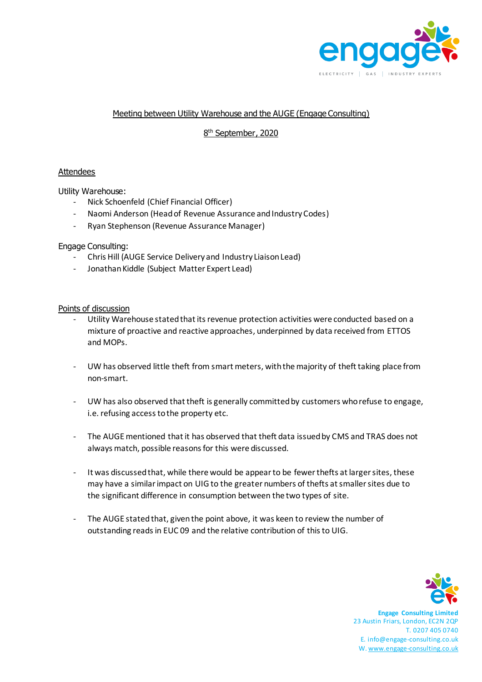

## Meeting between Utility Warehouse and the AUGE (Engage Consulting)

8<sup>th</sup> September, 2020

## Attendees

Utility Warehouse:

- Nick Schoenfeld (Chief Financial Officer)
- Naomi Anderson (Head of Revenue Assurance and Industry Codes)
- Ryan Stephenson (Revenue Assurance Manager)

Engage Consulting:

- Chris Hill (AUGE Service Delivery and Industry Liaison Lead)
- Jonathan Kiddle (Subject Matter Expert Lead)

Points of discussion

- Utility Warehouse stated that its revenue protection activities were conducted based on a mixture of proactive and reactive approaches, underpinned by data received from ETTOS and MOPs.
- UW has observed little theft from smart meters, with the majority of theft taking place from non-smart.
- UW has also observed that theft is generally committed by customers who refuse to engage, i.e. refusing access to the property etc.
- The AUGE mentioned that it has observed that theft data issued by CMS and TRAS does not always match, possible reasons for this were discussed.
- It was discussed that, while there would be appear to be fewer thefts at larger sites, these may have a similar impact on UIG to the greater numbers of thefts at smaller sites due to the significant difference in consumption between the two types of site.
- The AUGE stated that, given the point above, it was keen to review the number of outstanding reads in EUC 09 and the relative contribution of this to UIG.



**Engage Consulting Limited** 23 Austin Friars, London, EC2N 2QP T. 0207 405 0740 E. info@engage-consulting.co.uk W[. www.engage-consulting.co.uk](http://www.engage-consulting.co.uk/)